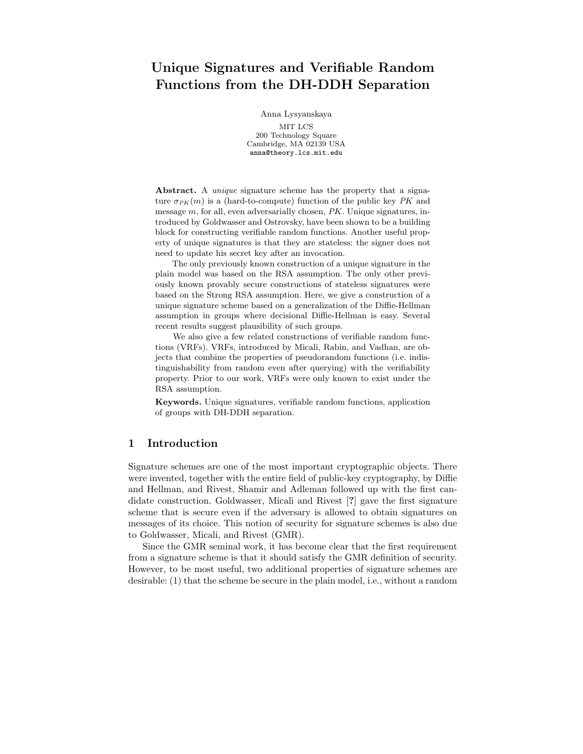# Unique Signatures and Verifiable Random Functions from the DH-DDH Separation

Anna Lysyanskaya MIT LCS 200 Technology Square Cambridge, MA 02139 USA anna@theory.lcs.mit.edu

Abstract. A *unique* signature scheme has the property that a signature  $\sigma_{PK}(m)$  is a (hard-to-compute) function of the public key PK and message  $m$ , for all, even adversarially chosen,  $PK$ . Unique signatures, introduced by Goldwasser and Ostrovsky, have been shown to be a building block for constructing verifiable random functions. Another useful property of unique signatures is that they are stateless: the signer does not need to update his secret key after an invocation.

The only previously known construction of a unique signature in the plain model was based on the RSA assumption. The only other previously known provably secure constructions of stateless signatures were based on the Strong RSA assumption. Here, we give a construction of a unique signature scheme based on a generalization of the Diffie-Hellman assumption in groups where decisional Diffie-Hellman is easy. Several recent results suggest plausibility of such groups.

We also give a few related constructions of verifiable random functions (VRFs). VRFs, introduced by Micali, Rabin, and Vadhan, are objects that combine the properties of pseudorandom functions (i.e. indistinguishability from random even after querying) with the verifiability property. Prior to our work, VRFs were only known to exist under the RSA assumption.

Keywords. Unique signatures, verifiable random functions, application of groups with DH-DDH separation.

# 1 Introduction

Signature schemes are one of the most important cryptographic objects. There were invented, together with the entire field of public-key cryptography, by Diffie and Hellman, and Rivest, Shamir and Adleman followed up with the first candidate construction. Goldwasser, Micali and Rivest [?] gave the first signature scheme that is secure even if the adversary is allowed to obtain signatures on messages of its choice. This notion of security for signature schemes is also due to Goldwasser, Micali, and Rivest (GMR).

Since the GMR seminal work, it has become clear that the first requirement from a signature scheme is that it should satisfy the GMR definition of security. However, to be most useful, two additional properties of signature schemes are desirable: (1) that the scheme be secure in the plain model, i.e., without a random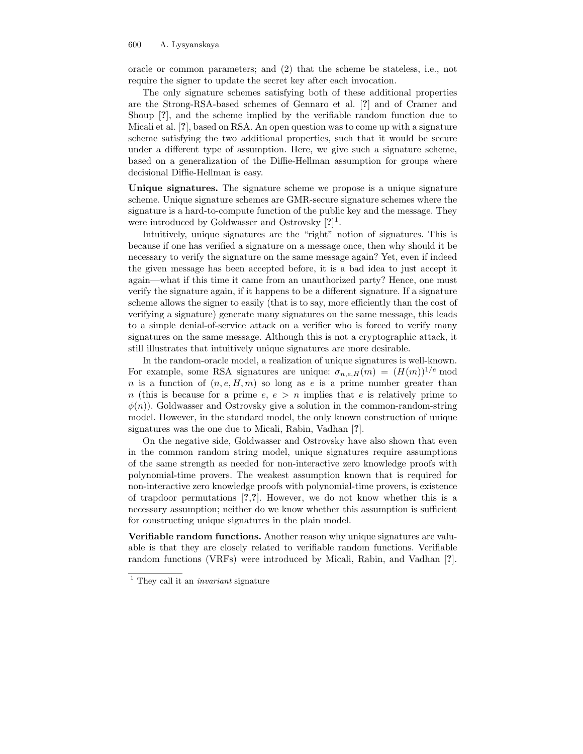oracle or common parameters; and (2) that the scheme be stateless, i.e., not require the signer to update the secret key after each invocation.

The only signature schemes satisfying both of these additional properties are the Strong-RSA-based schemes of Gennaro et al. [?] and of Cramer and Shoup [?], and the scheme implied by the verifiable random function due to Micali et al. [?], based on RSA. An open question was to come up with a signature scheme satisfying the two additional properties, such that it would be secure under a different type of assumption. Here, we give such a signature scheme, based on a generalization of the Diffie-Hellman assumption for groups where decisional Diffie-Hellman is easy.

Unique signatures. The signature scheme we propose is a unique signature scheme. Unique signature schemes are GMR-secure signature schemes where the signature is a hard-to-compute function of the public key and the message. They were introduced by Goldwasser and Ostrovsky  $[?]$ <sup>1</sup>.

Intuitively, unique signatures are the "right" notion of signatures. This is because if one has verified a signature on a message once, then why should it be necessary to verify the signature on the same message again? Yet, even if indeed the given message has been accepted before, it is a bad idea to just accept it again—what if this time it came from an unauthorized party? Hence, one must verify the signature again, if it happens to be a different signature. If a signature scheme allows the signer to easily (that is to say, more efficiently than the cost of verifying a signature) generate many signatures on the same message, this leads to a simple denial-of-service attack on a verifier who is forced to verify many signatures on the same message. Although this is not a cryptographic attack, it still illustrates that intuitively unique signatures are more desirable.

In the random-oracle model, a realization of unique signatures is well-known. For example, some RSA signatures are unique:  $\sigma_{n,e,H}(m) = (H(m))^{1/e}$  mod n is a function of  $(n, e, H, m)$  so long as e is a prime number greater than n (this is because for a prime e,  $e > n$  implies that e is relatively prime to  $\phi(n)$ . Goldwasser and Ostrovsky give a solution in the common-random-string model. However, in the standard model, the only known construction of unique signatures was the one due to Micali, Rabin, Vadhan [?].

On the negative side, Goldwasser and Ostrovsky have also shown that even in the common random string model, unique signatures require assumptions of the same strength as needed for non-interactive zero knowledge proofs with polynomial-time provers. The weakest assumption known that is required for non-interactive zero knowledge proofs with polynomial-time provers, is existence of trapdoor permutations [?,?]. However, we do not know whether this is a necessary assumption; neither do we know whether this assumption is sufficient for constructing unique signatures in the plain model.

Verifiable random functions. Another reason why unique signatures are valuable is that they are closely related to verifiable random functions. Verifiable random functions (VRFs) were introduced by Micali, Rabin, and Vadhan [?].

<sup>&</sup>lt;sup>1</sup> They call it an *invariant* signature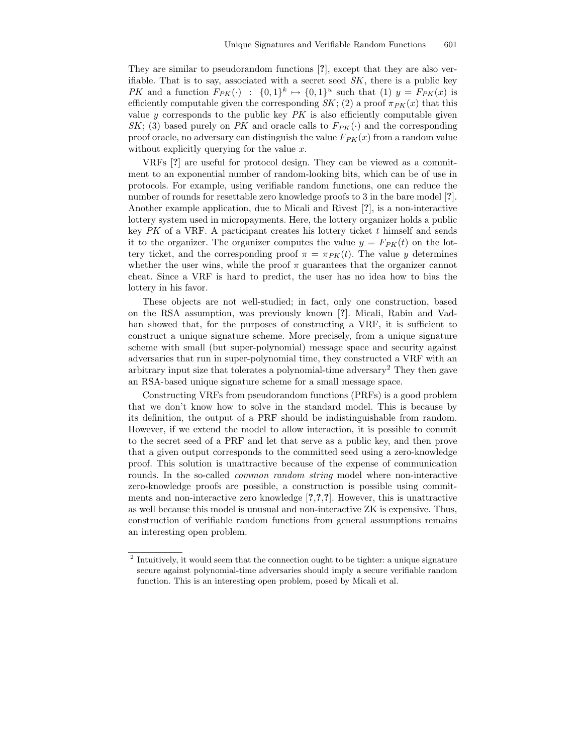They are similar to pseudorandom functions [?], except that they are also verifiable. That is to say, associated with a secret seed  $SK$ , there is a public key PK and a function  $F_{PK}(\cdot)$ :  $\{0,1\}^k \mapsto \{0,1\}^u$  such that (1)  $y = F_{PK}(x)$  is efficiently computable given the corresponding  $SK$ ; (2) a proof  $\pi_{PK}(x)$  that this value  $y$  corresponds to the public key  $PK$  is also efficiently computable given SK; (3) based purely on PK and oracle calls to  $F_{PK}(\cdot)$  and the corresponding proof oracle, no adversary can distinguish the value  $F_{PK}(x)$  from a random value without explicitly querying for the value  $x$ .

VRFs [?] are useful for protocol design. They can be viewed as a commitment to an exponential number of random-looking bits, which can be of use in protocols. For example, using verifiable random functions, one can reduce the number of rounds for resettable zero knowledge proofs to 3 in the bare model [?]. Another example application, due to Micali and Rivest [?], is a non-interactive lottery system used in micropayments. Here, the lottery organizer holds a public key  $PK$  of a VRF. A participant creates his lottery ticket  $t$  himself and sends it to the organizer. The organizer computes the value  $y = F_{PK}(t)$  on the lottery ticket, and the corresponding proof  $\pi = \pi_{PK}(t)$ . The value y determines whether the user wins, while the proof  $\pi$  guarantees that the organizer cannot cheat. Since a VRF is hard to predict, the user has no idea how to bias the lottery in his favor.

These objects are not well-studied; in fact, only one construction, based on the RSA assumption, was previously known [?]. Micali, Rabin and Vadhan showed that, for the purposes of constructing a VRF, it is sufficient to construct a unique signature scheme. More precisely, from a unique signature scheme with small (but super-polynomial) message space and security against adversaries that run in super-polynomial time, they constructed a VRF with an arbitrary input size that tolerates a polynomial-time adversary<sup>2</sup> They then gave an RSA-based unique signature scheme for a small message space.

Constructing VRFs from pseudorandom functions (PRFs) is a good problem that we don't know how to solve in the standard model. This is because by its definition, the output of a PRF should be indistinguishable from random. However, if we extend the model to allow interaction, it is possible to commit to the secret seed of a PRF and let that serve as a public key, and then prove that a given output corresponds to the committed seed using a zero-knowledge proof. This solution is unattractive because of the expense of communication rounds. In the so-called common random string model where non-interactive zero-knowledge proofs are possible, a construction is possible using commitments and non-interactive zero knowledge [?,?,?]. However, this is unattractive as well because this model is unusual and non-interactive ZK is expensive. Thus, construction of verifiable random functions from general assumptions remains an interesting open problem.

 $2$  Intuitively, it would seem that the connection ought to be tighter: a unique signature secure against polynomial-time adversaries should imply a secure verifiable random function. This is an interesting open problem, posed by Micali et al.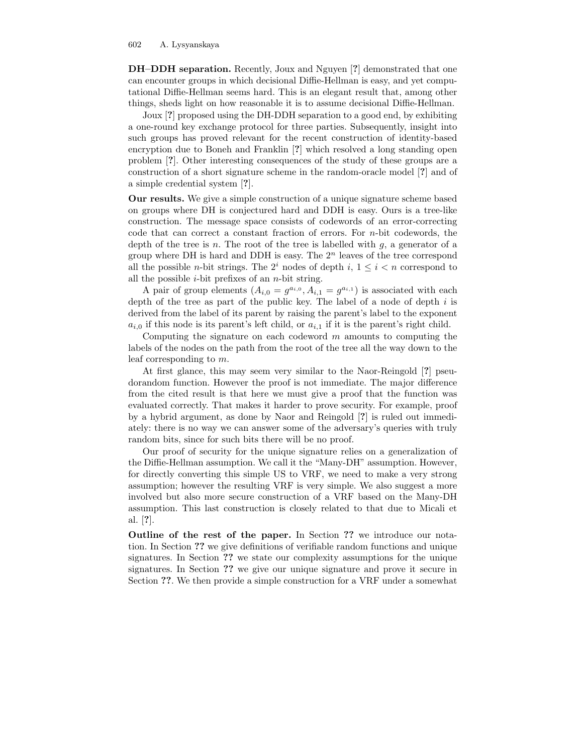DH–DDH separation. Recently, Joux and Nguyen [?] demonstrated that one can encounter groups in which decisional Diffie-Hellman is easy, and yet computational Diffie-Hellman seems hard. This is an elegant result that, among other things, sheds light on how reasonable it is to assume decisional Diffie-Hellman.

Joux [?] proposed using the DH-DDH separation to a good end, by exhibiting a one-round key exchange protocol for three parties. Subsequently, insight into such groups has proved relevant for the recent construction of identity-based encryption due to Boneh and Franklin [?] which resolved a long standing open problem [?]. Other interesting consequences of the study of these groups are a construction of a short signature scheme in the random-oracle model [?] and of a simple credential system [?].

Our results. We give a simple construction of a unique signature scheme based on groups where DH is conjectured hard and DDH is easy. Ours is a tree-like construction. The message space consists of codewords of an error-correcting code that can correct a constant fraction of errors. For n-bit codewords, the depth of the tree is  $n$ . The root of the tree is labelled with  $g$ , a generator of a group where  $DH$  is hard and  $DDH$  is easy. The  $2<sup>n</sup>$  leaves of the tree correspond all the possible *n*-bit strings. The  $2^i$  nodes of depth  $i, 1 \leq i < n$  correspond to all the possible  $i$ -bit prefixes of an *n*-bit string.

A pair of group elements  $(A_{i,0} = g^{a_{i,0}}, A_{i,1} = g^{a_{i,1}})$  is associated with each depth of the tree as part of the public key. The label of a node of depth  $i$  is derived from the label of its parent by raising the parent's label to the exponent  $a_{i,0}$  if this node is its parent's left child, or  $a_{i,1}$  if it is the parent's right child.

Computing the signature on each codeword  $m$  amounts to computing the labels of the nodes on the path from the root of the tree all the way down to the leaf corresponding to m.

At first glance, this may seem very similar to the Naor-Reingold [?] pseudorandom function. However the proof is not immediate. The major difference from the cited result is that here we must give a proof that the function was evaluated correctly. That makes it harder to prove security. For example, proof by a hybrid argument, as done by Naor and Reingold [?] is ruled out immediately: there is no way we can answer some of the adversary's queries with truly random bits, since for such bits there will be no proof.

Our proof of security for the unique signature relies on a generalization of the Diffie-Hellman assumption. We call it the "Many-DH" assumption. However, for directly converting this simple US to VRF, we need to make a very strong assumption; however the resulting VRF is very simple. We also suggest a more involved but also more secure construction of a VRF based on the Many-DH assumption. This last construction is closely related to that due to Micali et al. [?].

Outline of the rest of the paper. In Section ?? we introduce our notation. In Section ?? we give definitions of verifiable random functions and unique signatures. In Section ?? we state our complexity assumptions for the unique signatures. In Section ?? we give our unique signature and prove it secure in Section ??. We then provide a simple construction for a VRF under a somewhat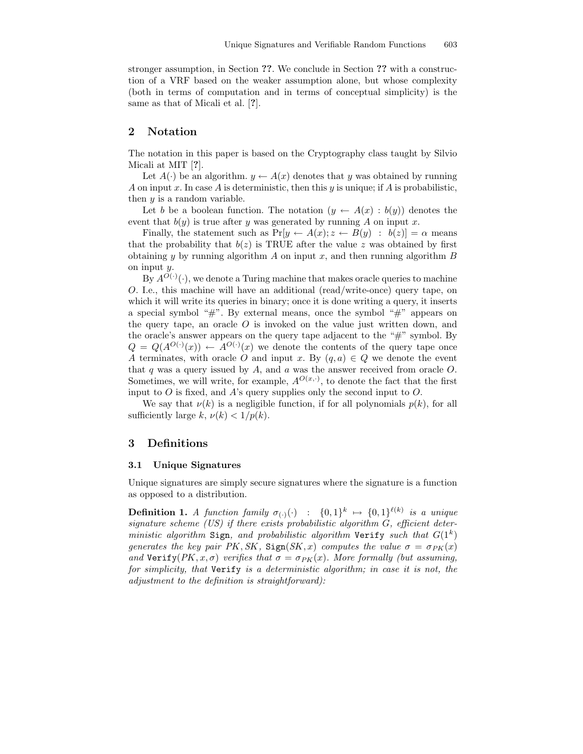stronger assumption, in Section ??. We conclude in Section ?? with a construction of a VRF based on the weaker assumption alone, but whose complexity (both in terms of computation and in terms of conceptual simplicity) is the same as that of Micali et al. [?].

## 2 Notation

The notation in this paper is based on the Cryptography class taught by Silvio Micali at MIT [?].

Let  $A(\cdot)$  be an algorithm.  $y \leftarrow A(x)$  denotes that y was obtained by running A on input x. In case A is deterministic, then this y is unique; if A is probabilistic, then  $y$  is a random variable.

Let b be a boolean function. The notation  $(y \leftarrow A(x) : b(y))$  denotes the event that  $b(y)$  is true after y was generated by running A on input x.

Finally, the statement such as  $Pr[y \leftarrow A(x); z \leftarrow B(y) : b(z)] = \alpha$  means that the probability that  $b(z)$  is TRUE after the value z was obtained by first obtaining y by running algorithm  $\tilde{A}$  on input x, and then running algorithm  $\tilde{B}$ on input y.

By  $A^{O(\cdot)}(\cdot)$ , we denote a Turing machine that makes oracle queries to machine O. I.e., this machine will have an additional (read/write-once) query tape, on which it will write its queries in binary; once it is done writing a query, it inserts a special symbol " $\#$ ". By external means, once the symbol " $\#$ " appears on the query tape, an oracle  $O$  is invoked on the value just written down, and the oracle's answer appears on the query tape adjacent to the " $\#$ " symbol. By  $Q = Q(A^{O(\cdot)}(x)) \leftarrow A^{O(\cdot)}(x)$  we denote the contents of the query tape once A terminates, with oracle O and input x. By  $(q, a) \in Q$  we denote the event that q was a query issued by  $A$ , and  $a$  was the answer received from oracle  $O$ . Sometimes, we will write, for example,  $A^{O(x,.)}$ , to denote the fact that the first input to  $O$  is fixed, and  $A$ 's query supplies only the second input to  $O$ .

We say that  $\nu(k)$  is a negligible function, if for all polynomials  $p(k)$ , for all sufficiently large k,  $\nu(k) < 1/p(k)$ .

## 3 Definitions

#### 3.1 Unique Signatures

Unique signatures are simply secure signatures where the signature is a function as opposed to a distribution.

**Definition 1.** A function family  $\sigma_{(\cdot)}(\cdot)$  :  $\{0,1\}^k \mapsto \{0,1\}^{\ell(k)}$  is a unique signature scheme (US) if there exists probabilistic algorithm  $G$ , efficient deterministic algorithm Sign, and probabilistic algorithm Verify such that  $G(1^k)$ generates the key pair PK, SK,  $Sign(SK, x)$  computes the value  $\sigma = \sigma_{PK}(x)$ and  $Verify(PK, x, \sigma)$  verifies that  $\sigma = \sigma_{PK}(x)$ . More formally (but assuming, for simplicity, that Verify is a deterministic algorithm; in case it is not, the adjustment to the definition is straightforward):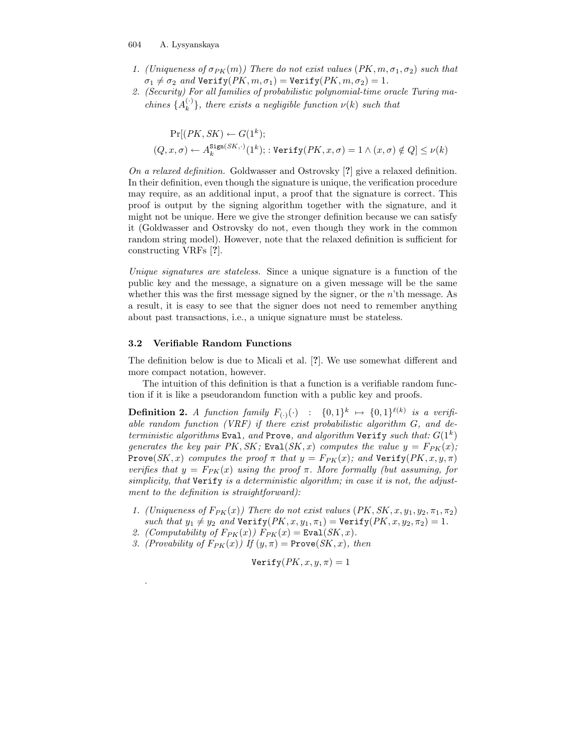- 1. (Uniqueness of  $\sigma_{PK}(m)$ ) There do not exist values (PK,  $m, \sigma_1, \sigma_2$ ) such that  $\sigma_1 \neq \sigma_2$  and Verify $(PK, m, \sigma_1) =$ Verify $(PK, m, \sigma_2) = 1$ .
- 2. (Security) For all families of probabilistic polynomial-time oracle Turing machines  $\{A_k^{(\cdot)}\}$  $\binom{N}{k}$ , there exists a negligible function  $\nu(k)$  such that

$$
\Pr[(PK, SK) \leftarrow G(1^k);
$$
  

$$
(Q, x, \sigma) \leftarrow A_k^{\text{Sign}(SK, \cdot)}(1^k); \text{Verify}(PK, x, \sigma) = 1 \land (x, \sigma) \notin Q] \le \nu(k)
$$

On a relaxed definition. Goldwasser and Ostrovsky [?] give a relaxed definition. In their definition, even though the signature is unique, the verification procedure may require, as an additional input, a proof that the signature is correct. This proof is output by the signing algorithm together with the signature, and it might not be unique. Here we give the stronger definition because we can satisfy it (Goldwasser and Ostrovsky do not, even though they work in the common random string model). However, note that the relaxed definition is sufficient for constructing VRFs [?].

Unique signatures are stateless. Since a unique signature is a function of the public key and the message, a signature on a given message will be the same whether this was the first message signed by the signer, or the  $n<sup>th</sup>$  message. As a result, it is easy to see that the signer does not need to remember anything about past transactions, i.e., a unique signature must be stateless.

#### 3.2 Verifiable Random Functions

The definition below is due to Micali et al. [?]. We use somewhat different and more compact notation, however.

The intuition of this definition is that a function is a verifiable random function if it is like a pseudorandom function with a public key and proofs.

**Definition 2.** A function family  $F_{(\cdot)}(\cdot)$  :  $\{0,1\}^k \mapsto \{0,1\}^{\ell(k)}$  is a verifiable random function (VRF) if there exist probabilistic algorithm G, and de $terministic\ algorithms\ Evaluate{ \texttt{Eval},\ and\ Prove},\ and\ algorithm\ Verify\ such\ that: G(1^k)$ generates the key pair PK, SK; Eval(SK, x) computes the value  $y = F_{PK}(x)$ ; Prove(SK, x) computes the proof  $\pi$  that  $y = F_{PK}(x)$ ; and Verify(PK, x, y,  $\pi$ ) verifies that  $y = F_{PK}(x)$  using the proof  $\pi$ . More formally (but assuming, for simplicity, that  $Verify$  is a deterministic algorithm; in case it is not, the adjustment to the definition is straightforward):

- 1. (Uniqueness of  $F_{PK}(x)$ ) There do not exist values (PK, SK, x, y<sub>1</sub>, y<sub>2</sub>,  $\pi_1$ ,  $\pi_2$ ) such that  $y_1 \neq y_2$  and  $Verify(PK, x, y_1, \pi_1) = Verify(PK, x, y_2, \pi_2) = 1.$
- 2. (Computability of  $F_{PK}(x)$ )  $F_{PK}(x) = \text{Eval}(SK, x)$ .

.

3. (Provability of  $F_{PK}(x)$ ) If  $(y, \pi)$  = Prove(SK, x), then

$$
\texttt{Verify}(PK, x, y, \pi) = 1
$$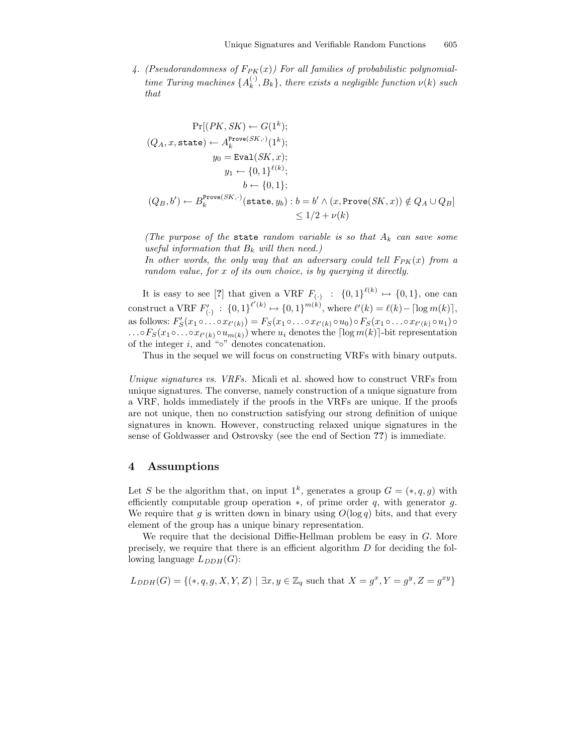4. (Pseudorandomness of  $F_{PK}(x)$ ) For all families of probabilistic polynomialtime Turing machines  $\{A_k^{(\cdot)}\}$  $\{k', B_k\}$ , there exists a negligible function  $\nu(k)$  such that

$$
\Pr[(PK, SK) \leftarrow G(1^k);
$$
  
\n
$$
(Q_A, x, \text{state}) \leftarrow A_k^{\text{Prove}(SK, \cdot)}(1^k);
$$
  
\n
$$
y_0 = \text{Eval}(SK, x);
$$
  
\n
$$
y_1 \leftarrow \{0, 1\}^{\ell(k)};
$$
  
\n
$$
b \leftarrow \{0, 1\};
$$
  
\n
$$
(Q_B, b') \leftarrow B_k^{\text{Prove}(SK, \cdot)}(\text{state}, y_b) : b = b' \land (x, \text{Prove}(SK, x)) \notin Q_A \cup Q_B
$$
  
\n
$$
\leq 1/2 + \nu(k)
$$

(The purpose of the state random variable is so that  $A_k$  can save some useful information that  $B_k$  will then need.)

In other words, the only way that an adversary could tell  $F_{PK}(x)$  from a random value, for x of its own choice, is by querying it directly.

It is easy to see [?] that given a VRF  $F_{(\cdot)}$  :  $\{0,1\}^{\ell(k)} \mapsto \{0,1\}$ , one can construct a VRF  $F'_{(\cdot)}$  :  $\{0,1\}^{\ell'(k)} \mapsto \{0,1\}^{m(k)},$  where  $\ell'(k) = \ell(k) - \lceil \log m(k) \rceil$ , as follows:  $F'_{S}(x_1 \circ \ldots \circ x_{\ell'(k)}) = F_{S}(x_1 \circ \ldots \circ x_{\ell'(k)} \circ u_0) \circ F_{S}(x_1 \circ \ldots \circ x_{\ell'(k)} \circ u_1) \circ$  $\ldots \circ F_S(x_1 \circ \ldots \circ x_{\ell'(k)} \circ u_{m(k)})$  where  $u_i$  denotes the  $\lceil \log m(k) \rceil$ -bit representation of the integer  $i$ , and " $\circ$ " denotes concatenation.

Thus in the sequel we will focus on constructing VRFs with binary outputs.

Unique signatures vs. VRFs. Micali et al. showed how to construct VRFs from unique signatures. The converse, namely construction of a unique signature from a VRF, holds immediately if the proofs in the VRFs are unique. If the proofs are not unique, then no construction satisfying our strong definition of unique signatures in known. However, constructing relaxed unique signatures in the sense of Goldwasser and Ostrovsky (see the end of Section ??) is immediate.

#### 4 Assumptions

Let S be the algorithm that, on input  $1^k$ , generates a group  $G = (*, q, g)$  with efficiently computable group operation  $*$ , of prime order q, with generator q. We require that g is written down in binary using  $O(\log q)$  bits, and that every element of the group has a unique binary representation.

We require that the decisional Diffie-Hellman problem be easy in G. More precisely, we require that there is an efficient algorithm D for deciding the following language  $L_{DDH}(G)$ :

$$
L_{DDH}(G) = \{(*, q, g, X, Y, Z) \mid \exists x, y \in \mathbb{Z}_q \text{ such that } X = g^x, Y = g^y, Z = g^{xy}\}\
$$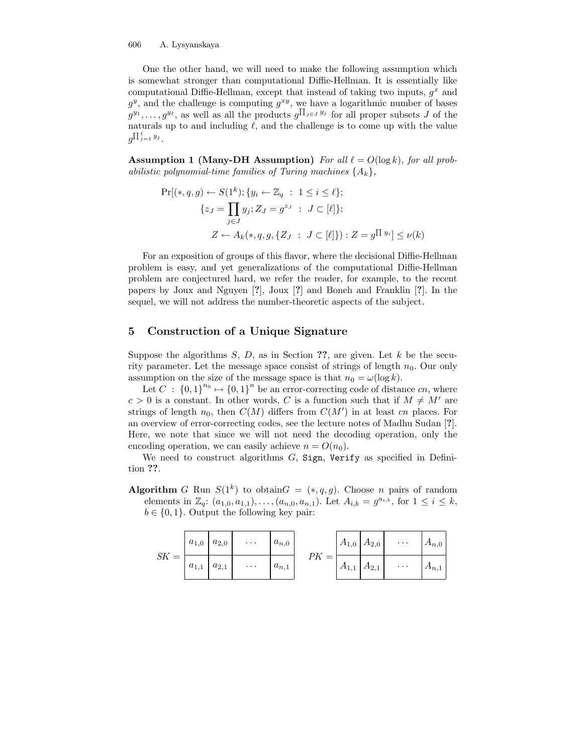#### 606 A. Lysyanskaya

One the other hand, we will need to make the following assumption which is somewhat stronger than computational Diffie-Hellman. It is essentially like computational Diffie-Hellman, except that instead of taking two inputs,  $g^x$  and  $g^y$ , and the challenge is computing  $g^{xy}$ , we have a logarithmic number of bases  $g^{y_1}, \ldots, g^{y_\ell}$ , as well as all the products  $g^{\prod_{j\in J} y_j}$  for all proper subsets J of the naturals up to and including  $\ell$ , and the challenge is to come up with the value  $g^{\prod_{j=1}^\ell y_j}.$ 

**Assumption 1 (Many-DH Assumption)** For all  $\ell = O(\log k)$ , for all probabilistic polynomial-time families of Turing machines  $\{A_k\},\$ 

$$
\Pr[(*, q, g) \leftarrow S(1^k); \{y_i \leftarrow \mathbb{Z}_q : 1 \leq i \leq \ell\};
$$
  

$$
\{z_J = \prod_{j \in J} y_j; Z_J = g^{z_J} : J \subset [\ell]\};
$$
  

$$
Z \leftarrow A_k(*, q, g, \{Z_J : J \subset [\ell]\}) : Z = g^{\prod y_i} \leq \nu(k)
$$

For an exposition of groups of this flavor, where the decisional Diffie-Hellman problem is easy, and yet generalizations of the computational Diffie-Hellman problem are conjectured hard, we refer the reader, for example, to the recent papers by Joux and Nguyen [?], Joux [?] and Boneh and Franklin [?]. In the sequel, we will not address the number-theoretic aspects of the subject.

## 5 Construction of a Unique Signature

Suppose the algorithms  $S, D$ , as in Section ??, are given. Let k be the security parameter. Let the message space consist of strings of length  $n_0$ . Our only assumption on the size of the message space is that  $n_0 = \omega(\log k)$ .

Let  $C: \{0,1\}^{n_0} \mapsto \{0,1\}^n$  be an error-correcting code of distance cn, where  $c > 0$  is a constant. In other words, C is a function such that if  $M \neq M'$  are strings of length  $n_0$ , then  $C(M)$  differs from  $C(M')$  in at least cn places. For an overview of error-correcting codes, see the lecture notes of Madhu Sudan [?]. Here, we note that since we will not need the decoding operation, only the encoding operation, we can easily achieve  $n = O(n_0)$ .

We need to construct algorithms  $G$ ,  $Sign$ ,  $Verify$  as specified in Definition ??.

Algorithm G Run  $S(1^k)$  to obtain $G = (*, q, g)$ . Choose n pairs of random elements in  $\mathbb{Z}_q$ :  $(a_{1,0}, a_{1,1}), \ldots, (a_{n,0}, a_{n,1})$ . Let  $A_{i,b} = g^{a_{i,b}},$  for  $1 \leq i \leq k$ ,  $b \in \{0, 1\}$ . Output the following key pair:

| $S\!K$ |  | $ a_{1,0} a_{2,0}  \ldots  a_{n,0} $ |           |  |  | $A_{1,0}$ $A_{2,0}$ $\cdots$                    | $A_{n,0}$ |
|--------|--|--------------------------------------|-----------|--|--|-------------------------------------------------|-----------|
|        |  | $ a_{1,1} a_{2,1}  \ldots$           | $a_{n,1}$ |  |  | $\left  A_{1,1} \right  A_{2,1} \right  \cdots$ | $A_{n,1}$ |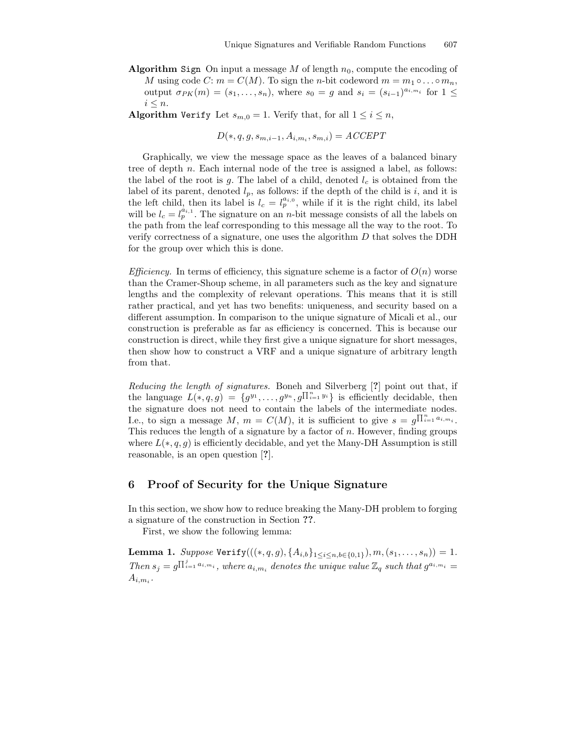- **Algorithm Sign** On input a message M of length  $n_0$ , compute the encoding of M using code  $C: m = C(M)$ . To sign the *n*-bit codeword  $m = m_1 \circ \dots \circ m_n$ , output  $\sigma_{PK}(m) = (s_1, \ldots, s_n)$ , where  $s_0 = g$  and  $s_i = (s_{i-1})^{a_{i,m_i}}$  for  $1 \leq$  $i \leq n$ .
- Algorithm Verify Let  $s_{m,0} = 1$ . Verify that, for all  $1 \le i \le n$ ,

$$
D(*, q, g, s_{m,i-1}, A_{i,m_i}, s_{m,i}) = ACCEPT
$$

Graphically, we view the message space as the leaves of a balanced binary tree of depth n. Each internal node of the tree is assigned a label, as follows: the label of the root is g. The label of a child, denoted  $l_c$  is obtained from the label of its parent, denoted  $l_p$ , as follows: if the depth of the child is i, and it is the left child, then its label is  $l_c = l_p^{a_{i,0}}$ , while if it is the right child, its label will be  $l_c = l_p^{a_{i,1}}$ . The signature on an *n*-bit message consists of all the labels on the path from the leaf corresponding to this message all the way to the root. To verify correctness of a signature, one uses the algorithm  $D$  that solves the DDH for the group over which this is done.

*Efficiency*. In terms of efficiency, this signature scheme is a factor of  $O(n)$  worse than the Cramer-Shoup scheme, in all parameters such as the key and signature lengths and the complexity of relevant operations. This means that it is still rather practical, and yet has two benefits: uniqueness, and security based on a different assumption. In comparison to the unique signature of Micali et al., our construction is preferable as far as efficiency is concerned. This is because our construction is direct, while they first give a unique signature for short messages, then show how to construct a VRF and a unique signature of arbitrary length from that.

Reducing the length of signatures. Boneh and Silverberg [?] point out that, if the language  $L(*, q, g) = \{g^{y_1}, \ldots, g^{y_n}, g^{\prod_{i=1}^n y_i}\}\$  is efficiently decidable, then the signature does not need to contain the labels of the intermediate nodes. I.e., to sign a message M,  $m = C(M)$ , it is sufficient to give  $s = g^{\prod_{i=1}^{n} a_{i,m_i}}$ . This reduces the length of a signature by a factor of  $n$ . However, finding groups where  $L(*, q, g)$  is efficiently decidable, and yet the Many-DH Assumption is still reasonable, is an open question [?].

## 6 Proof of Security for the Unique Signature

In this section, we show how to reduce breaking the Many-DH problem to forging a signature of the construction in Section ??.

First, we show the following lemma:

Lemma 1. Suppose Verify $(((*, q, g), \{A_{i,b}\}_{1 \leq i \leq n, b \in \{0,1\}}), m, (s_1, \ldots, s_n)) = 1.$ Then  $s_j = g^{\prod_{i=1}^j a_{i,m_i}}$ , where  $a_{i,m_i}$  denotes the unique value  $\mathbb{Z}_q$  such that  $g^{a_{i,m_i}} =$  $A_{i,m_i}$  .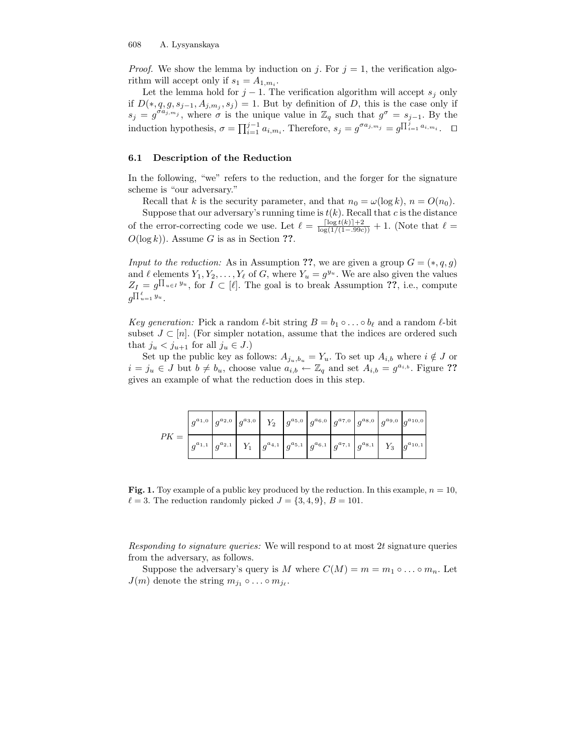#### 608 A. Lysyanskaya

*Proof.* We show the lemma by induction on j. For  $j = 1$ , the verification algorithm will accept only if  $s_1 = A_{1,m_i}$ .

Let the lemma hold for  $j-1$ . The verification algorithm will accept  $s_j$  only if  $D(*, q, g, s_{j-1}, A_{j,m_j}, s_j) = 1$ . But by definition of D, this is the case only if  $s_j = g^{\sigma a_{j,m_j}}$ , where  $\sigma$  is the unique value in  $\mathbb{Z}_q$  such that  $g^{\sigma} = s_{j-1}$ . By the induction hypothesis,  $\sigma = \prod_{i=1}^{j-1} a_{i,m_i}$ . Therefore,  $s_j = g^{\sigma a_{j,m_j}} = g^{\prod_{i=1}^{j} a_{i,m_i}}$ .  $\Box$ 

#### 6.1 Description of the Reduction

In the following, "we" refers to the reduction, and the forger for the signature scheme is "our adversary."

Recall that k is the security parameter, and that  $n_0 = \omega(\log k)$ ,  $n = O(n_0)$ .

Suppose that our adversary's running time is  $t(k)$ . Recall that c is the distance of the error-correcting code we use. Let  $\ell = \frac{\lceil \log t(k) \rceil + 2}{\log(1/(1-.99c))} + 1$ . (Note that  $\ell =$  $O(\log k)$ . Assume G is as in Section ??.

Input to the reduction: As in Assumption ??, we are given a group  $G = (*, q, g)$ and  $\ell$  elements  $Y_1, Y_2, \ldots, Y_\ell$  of G, where  $Y_u = g^{y_u}$ . We are also given the values  $Z_I = g^{\prod_{u \in I} y_u}$ , for  $I \subset [\ell]$ . The goal is to break Assumption ??, i.e., compute  $g\prod_{u=1}^{\ell} y_u$ .

Key generation: Pick a random  $\ell$ -bit string  $B = b_1 \circ \ldots \circ b_\ell$  and a random  $\ell$ -bit subset  $J \subset [n]$ . (For simpler notation, assume that the indices are ordered such that  $j_u < j_{u+1}$  for all  $j_u \in J$ .)

Set up the public key as follows:  $A_{j_u,b_u} = Y_u$ . To set up  $A_{i,b}$  where  $i \notin J$  or  $i = j_u \in J$  but  $b \neq b_u$ , choose value  $a_{i,b} \leftarrow \mathbb{Z}_q$  and set  $A_{i,b} = g^{a_{i,b}}$ . Figure ?? gives an example of what the reduction does in this step.

| PК |  |  |  |  | $\int g^{a_{1,0}}\int g^{a_{2,0}}\int g^{a_{3,0}}\left[ \begin{array}{cc} Y_2 \end{array} \right]g^{a_{5,0}}\left[ \begin{array}{cc} g^{a_{6,0}}\end{array} \right]g^{a_{7,0}}\left[ \begin{array}{cc} g^{a_{8,0}}\end{array} \right]g^{a_{9,0}}\left[ \begin{array}{cc} g^{a_{10,0}}\end{array} \right]$ |
|----|--|--|--|--|-----------------------------------------------------------------------------------------------------------------------------------------------------------------------------------------------------------------------------------------------------------------------------------------------------------|
|    |  |  |  |  | $\begin{vmatrix} g^{a_{1,1}} & g^{a_{2,1}} & Y_1 & g^{a_{4,1}} & g^{a_{5,1}} & g^{a_{6,1}} & g^{a_{7,1}} & g^{a_{8,1}} & Y_3 & g^{a_{10,1}} \end{vmatrix}$                                                                                                                                                |

**Fig. 1.** Toy example of a public key produced by the reduction. In this example,  $n = 10$ ,  $\ell = 3$ . The reduction randomly picked  $J = \{3, 4, 9\}, B = 101$ .

Responding to signature queries: We will respond to at most  $2t$  signature queries from the adversary, as follows.

Suppose the adversary's query is M where  $C(M) = m = m_1 \circ \dots \circ m_n$ . Let  $J(m)$  denote the string  $m_{j_1} \circ \ldots \circ m_{j_\ell}$ .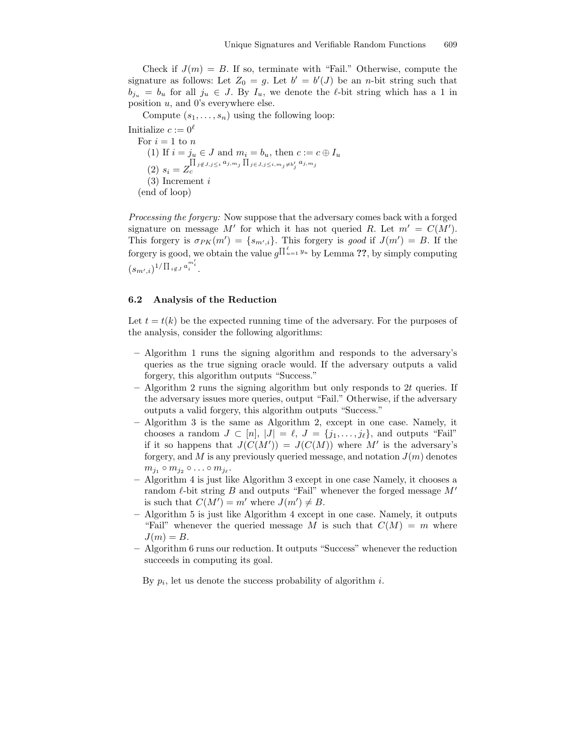Check if  $J(m) = B$ . If so, terminate with "Fail." Otherwise, compute the signature as follows: Let  $Z_0 = g$ . Let  $b' = b'(J)$  be an *n*-bit string such that  $b_{j_u} = b_u$  for all  $j_u \in J$ . By  $I_u$ , we denote the  $\ell$ -bit string which has a 1 in position  $u$ , and  $0$ 's everywhere else.

Compute  $(s_1, \ldots, s_n)$  using the following loop: Initialize  $c := 0^{\ell}$ For  $i=1$  to  $\boldsymbol{n}$ (1) If  $i = j_u \in J$  and  $m_i = b_u$ , then  $c := c \oplus I_u$  $(2)$   $s_i = Z_c^{\prod_{j \notin J, j \leq i} a_{j,m_j} \prod_{j \in J, j \leq i, m_j \neq b'_j} a_{j,m_j}}$ c  $(3)$  Increment i (end of loop)

Processing the forgery: Now suppose that the adversary comes back with a forged signature on message M' for which it has not queried R. Let  $m' = C(M')$ . This forgery is  $\sigma_{PK}(m') = \{s_{m',i}\}\.$  This forgery is good if  $J(m') = B$ . If the forgery is good, we obtain the value  $g^{\prod_{u=1}^\ell y_u}$  by Lemma ??, by simply computing  $(s_{m',i})^{1/\prod_{i\notin J} a_i^{m'_i}}.$ 

### 6.2 Analysis of the Reduction

Let  $t = t(k)$  be the expected running time of the adversary. For the purposes of the analysis, consider the following algorithms:

- Algorithm 1 runs the signing algorithm and responds to the adversary's queries as the true signing oracle would. If the adversary outputs a valid forgery, this algorithm outputs "Success."
- $-$  Algorithm 2 runs the signing algorithm but only responds to 2t queries. If the adversary issues more queries, output "Fail." Otherwise, if the adversary outputs a valid forgery, this algorithm outputs "Success."
- Algorithm 3 is the same as Algorithm 2, except in one case. Namely, it chooses a random  $J \subset [n], |J| = \ell, J = \{j_1, \ldots, j_\ell\}$ , and outputs "Fail" if it so happens that  $J(C(M')) = J(C(M))$  where M' is the adversary's forgery, and  $M$  is any previously queried message, and notation  $J(m)$  denotes  $m_{j_1} \circ m_{j_2} \circ \ldots \circ m_{j_\ell}.$
- Algorithm 4 is just like Algorithm 3 except in one case Namely, it chooses a random  $\ell$ -bit string B and outputs "Fail" whenever the forged message  $M'$ is such that  $C(M') = m'$  where  $J(m') \neq B$ .
- Algorithm 5 is just like Algorithm 4 except in one case. Namely, it outputs "Fail" whenever the queried message M is such that  $C(M) = m$  where  $J(m) = B$ .
- Algorithm 6 runs our reduction. It outputs "Success" whenever the reduction succeeds in computing its goal.

By  $p_i$ , let us denote the success probability of algorithm *i*.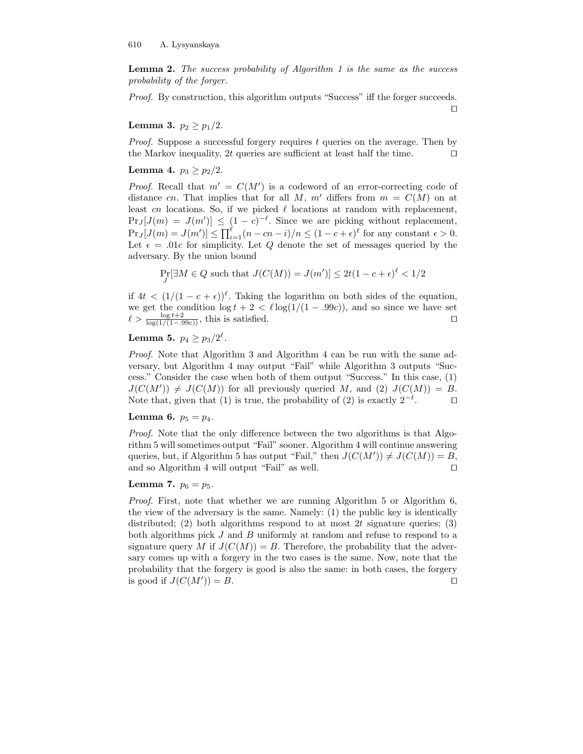Lemma 2. The success probability of Algorithm 1 is the same as the success probability of the forger.

Proof. By construction, this algorithm outputs "Success" iff the forger succeeds.

 $\Box$ 

## Lemma 3.  $p_2 \geq p_1/2$ .

*Proof.* Suppose a successful forgery requires  $t$  queries on the average. Then by the Markov inequality, 2t queries are sufficient at least half the time.  $\square$ 

Lemma 4.  $p_3 \geq p_2/2$ .

*Proof.* Recall that  $m' = C(M')$  is a codeword of an error-correcting code of distance cn. That implies that for all M, m' differs from  $m = C(M)$  on at least cn locations. So, if we picked  $\ell$  locations at random with replacement,  $\Pr_J[J(m) = J(m')] \leq (1 - c)^{-\ell}$ . Since we are picking without replacement,  $\Pr_J[J(m) = J(m')] \le \prod_{i=1}^{\ell} (n - cn - i)/n \le (1 - c + \epsilon)^{\ell}$  for any constant  $\epsilon > 0$ . Let  $\epsilon = .01c$  for simplicity. Let Q denote the set of messages queried by the adversary. By the union bound

$$
\Pr_{J}[\exists M \in Q \text{ such that } J(C(M)) = J(m')] \le 2t(1 - c + \epsilon)^{\ell} < 1/2
$$

if  $4t < (1/(1 - c + \epsilon))^{\ell}$ . Taking the logarithm on both sides of the equation, we get the condition  $\log t + 2 < l \log(1/(1 - .99c))$ , and so since we have set  $\ell > \frac{\log t + 2}{\log(1/(1-.99c))}$ , this is satisfied.

# Lemma 5.  $p_4 \geq p_3/2^{\ell}$ .

Proof. Note that Algorithm 3 and Algorithm 4 can be run with the same adversary, but Algorithm 4 may output "Fail" while Algorithm 3 outputs "Success." Consider the case when both of them output "Success." In this case, (1)  $J(C(M')) \neq J(C(M))$  for all previously queried M, and (2)  $J(C(M)) = B$ . Note that, given that (1) is true, the probability of (2) is exactly  $2^{-\ell}$  $\Box$ 

#### **Lemma 6.**  $p_5 = p_4$ .

Proof. Note that the only difference between the two algorithms is that Algorithm 5 will sometimes output "Fail" sooner. Algorithm 4 will continue answering queries, but, if Algorithm 5 has output "Fail," then  $J(C(M')) \neq J(C(M)) = B$ , and so Algorithm 4 will output "Fail" as well.  $\square$ 

#### **Lemma 7.**  $p_6 = p_5$ .

Proof. First, note that whether we are running Algorithm 5 or Algorithm 6, the view of the adversary is the same. Namely: (1) the public key is identically distributed; (2) both algorithms respond to at most  $2t$  signature queries; (3) both algorithms pick J and B uniformly at random and refuse to respond to a signature query M if  $J(C(M)) = B$ . Therefore, the probability that the adversary comes up with a forgery in the two cases is the same. Now, note that the probability that the forgery is good is also the same: in both cases, the forgery is good if  $J(C(M')) = B$ .  $)) = B.$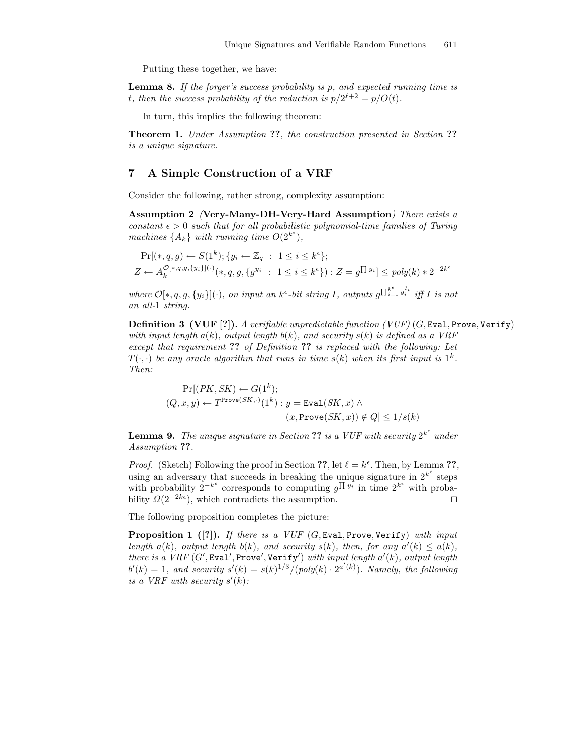Putting these together, we have:

**Lemma 8.** If the forger's success probability is  $p$ , and expected running time is t, then the success probability of the reduction is  $p/2^{\ell+2} = p/O(t)$ .

In turn, this implies the following theorem:

Theorem 1. Under Assumption ??, the construction presented in Section ?? is a unique signature.

# 7 A Simple Construction of a VRF

Consider the following, rather strong, complexity assumption:

Assumption 2 (Very-Many-DH-Very-Hard Assumption) There exists a constant  $\epsilon > 0$  such that for all probabilistic polynomial-time families of Turing machines  $\{A_k\}$  with running time  $O(2^{k^{\epsilon}})$ ,

$$
\Pr[(*, q, g) \leftarrow S(1^k); \{y_i \leftarrow \mathbb{Z}_q : 1 \le i \le k^{\epsilon}\};
$$
  

$$
Z \leftarrow A_k^{\mathcal{O}[*, q, g, \{y_i\}]\cdots}_{\epsilon}(*, q, g, \{g^{y_i} : 1 \le i \le k^{\epsilon}\}: Z = g^{\prod y_i} \le poly(k) * 2^{-2k^{\epsilon}}
$$

where  $\mathcal{O}[*, q, g, \{y_i\}] (\cdot)$ , on input an  $k^{\epsilon}$ -bit string I, outputs  $g \prod_{i=1}^{k^{\epsilon}} y_i^{I_i}$  iff I is not an all-1 string.

**Definition 3 (VUF [?]).** A verifiable unpredictable function (VUF) (G, Eval, Prove, Verify) with input length  $a(k)$ , output length  $b(k)$ , and security  $s(k)$  is defined as a VRF except that requirement ?? of Definition ?? is replaced with the following: Let  $T(\cdot, \cdot)$  be any oracle algorithm that runs in time  $s(k)$  when its first input is  $1^k$ . Then:

$$
\Pr[(PK, SK) \leftarrow G(1^k);
$$
  
(Q, x, y) \leftarrow T^{\text{Prove}(SK, \cdot)}(1^k): y = \text{Eval}(SK, x) \wedge (x, \text{Prove}(SK, x)) \notin Q] \le 1/s(k)

**Lemma 9.** The unique signature in Section ?? is a VUF with security  $2^{k^{\epsilon}}$  under Assumption ??.

*Proof.* (Sketch) Following the proof in Section ??, let  $\ell = k^{\epsilon}$ . Then, by Lemma ??, using an adversary that succeeds in breaking the unique signature in  $2^{k^{\epsilon}}$  steps with probability  $2^{-k^{\epsilon}}$  corresponds to computing  $g^{\prod y_i}$  in time  $2^{k^{\epsilon}}$  with probability  $\Omega(2^{-2k\epsilon})$ , which contradicts the assumption.  $\square$ 

The following proposition completes the picture:

**Proposition 1** ([?]). If there is a VUF  $(G, \text{Eval}, \text{Prove}, \text{Verify})$  with input length  $a(k)$ , output length  $b(k)$ , and security  $s(k)$ , then, for any  $a'(k) \leq a(k)$ , there is a VRF  $(G', \text{Eval}', \text{Prove}', \text{Verify}')$  with input length  $a'(k)$ , output length  $b'(k) = 1$ , and security  $s'(k) = s(k)^{1/3} / (poly(k) \cdot 2^{a'(k)})$ . Namely, the following is a VRF with security  $s'(k)$ :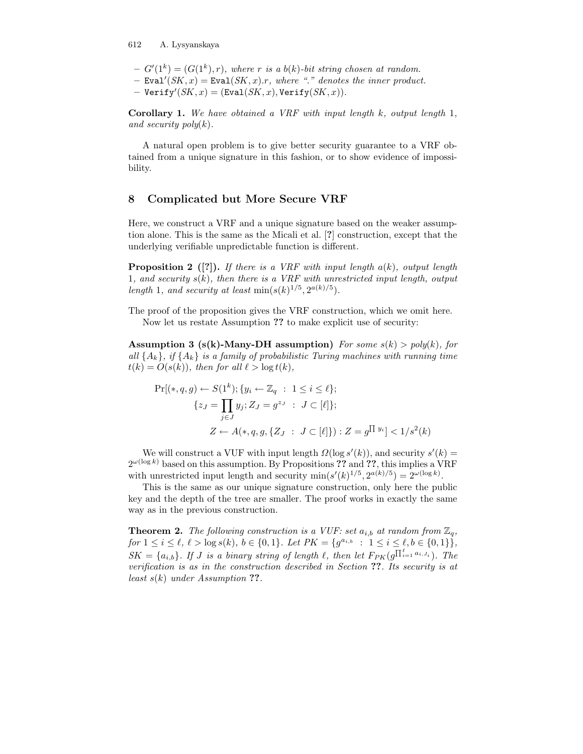- $-G'(1^k) = (G(1^k), r)$ , where r is a  $b(k)$ -bit string chosen at random.
- $-$  Eval'(SK, x) = Eval(SK, x).r, where "." denotes the inner product.

 $-$  Verify' $(SK, x) = (Eval(SK, x), Verify(SK, x)).$ 

Corollary 1. We have obtained a VRF with input length k, output length 1, and security  $poly(k)$ .

A natural open problem is to give better security guarantee to a VRF obtained from a unique signature in this fashion, or to show evidence of impossibility.

# 8 Complicated but More Secure VRF

Here, we construct a VRF and a unique signature based on the weaker assumption alone. This is the same as the Micali et al. [?] construction, except that the underlying verifiable unpredictable function is different.

**Proposition 2** ([?]). If there is a VRF with input length  $a(k)$ , output length 1, and security  $s(k)$ , then there is a VRF with unrestricted input length, output length 1, and security at least  $\min(s(k)^{1/5}, 2^{a(k)/5})$ .

The proof of the proposition gives the VRF construction, which we omit here. Now let us restate Assumption ?? to make explicit use of security:

Assumption 3 (s(k)-Many-DH assumption) For some  $s(k) > poly(k)$ , for all  ${A_k}$ , if  ${A_k}$  is a family of probabilistic Turing machines with running time  $t(k) = O(s(k))$ , then for all  $\ell > \log t(k)$ ,

$$
\Pr[(*, q, g) \leftarrow S(1^k); \{y_i \leftarrow \mathbb{Z}_q : 1 \leq i \leq \ell\};
$$
  

$$
\{z_J = \prod_{j \in J} y_j; Z_J = g^{z_J} : J \subset [\ell]\};
$$
  

$$
Z \leftarrow A(*, q, g, \{Z_J : J \subset [\ell]\}): Z = g^{\prod y_i} < 1/s^2(k)
$$

We will construct a VUF with input length  $\Omega(\log s'(k))$ , and security  $s'(k)$  =  $2^{\omega(\log k)}$  based on this assumption. By Propositions ?? and ??, this implies a VRF with unrestricted input length and security  $\min(s'(k)^{1/5}, 2^{a(k)/5}) = 2^{\omega(\log k)}$ .

This is the same as our unique signature construction, only here the public key and the depth of the tree are smaller. The proof works in exactly the same way as in the previous construction.

**Theorem 2.** The following construction is a VUF: set  $a_{i,b}$  at random from  $\mathbb{Z}_q$ ,  $for 1 \leq i \leq \ell, \ell > \log s(k), b \in \{0, 1\}.$  Let  $PK = \{g^{a_{i,b}} : 1 \leq i \leq \ell, b \in \{0, 1\}\},\$  $SK = \{a_{i,b}\}$ . If J is a binary string of length  $\ell$ , then let  $F_{PK}(g^{\prod_{i=1}^{\ell} a_{i, J_i}})$ . The verification is as in the construction described in Section ??. Its security is at least  $s(k)$  under Assumption ??.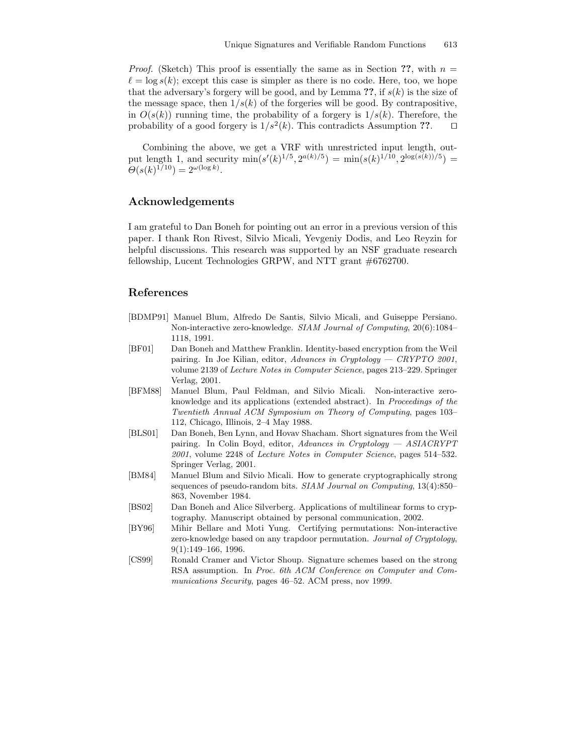*Proof.* (Sketch) This proof is essentially the same as in Section ??, with  $n =$  $\ell = \log s(k)$ ; except this case is simpler as there is no code. Here, too, we hope that the adversary's forgery will be good, and by Lemma ??, if  $s(k)$  is the size of the message space, then  $1/s(k)$  of the forgeries will be good. By contrapositive, in  $O(s(k))$  running time, the probability of a forgery is  $1/s(k)$ . Therefore, the probability of a good forgery is  $1/s^2(k)$ . This contradicts Assumption ??.  $\square$ 

Combining the above, we get a VRF with unrestricted input length, output length 1, and security  $\min(s'(k)^{1/5}, 2^{a(k)/5}) = \min(s(k)^{1/10}, 2^{\log(s(k))/5}) =$  $\Theta(s(k)^{1/10}) = 2^{\omega(\log k)}$ .

# Acknowledgements

I am grateful to Dan Boneh for pointing out an error in a previous version of this paper. I thank Ron Rivest, Silvio Micali, Yevgeniy Dodis, and Leo Reyzin for helpful discussions. This research was supported by an NSF graduate research fellowship, Lucent Technologies GRPW, and NTT grant #6762700.

# References

- [BDMP91] Manuel Blum, Alfredo De Santis, Silvio Micali, and Guiseppe Persiano. Non-interactive zero-knowledge. SIAM Journal of Computing, 20(6):1084– 1118, 1991.
- [BF01] Dan Boneh and Matthew Franklin. Identity-based encryption from the Weil pairing. In Joe Kilian, editor, Advances in Cryptology — CRYPTO 2001, volume 2139 of Lecture Notes in Computer Science, pages 213–229. Springer Verlag, 2001.
- [BFM88] Manuel Blum, Paul Feldman, and Silvio Micali. Non-interactive zeroknowledge and its applications (extended abstract). In Proceedings of the Twentieth Annual ACM Symposium on Theory of Computing, pages 103– 112, Chicago, Illinois, 2–4 May 1988.
- [BLS01] Dan Boneh, Ben Lynn, and Hovav Shacham. Short signatures from the Weil pairing. In Colin Boyd, editor, Advances in Cryptology — ASIACRYPT 2001, volume 2248 of Lecture Notes in Computer Science, pages 514–532. Springer Verlag, 2001.
- [BM84] Manuel Blum and Silvio Micali. How to generate cryptographically strong sequences of pseudo-random bits. SIAM Journal on Computing, 13(4):850– 863, November 1984.
- [BS02] Dan Boneh and Alice Silverberg. Applications of multilinear forms to cryptography. Manuscript obtained by personal communication, 2002.
- [BY96] Mihir Bellare and Moti Yung. Certifying permutations: Non-interactive zero-knowledge based on any trapdoor permutation. Journal of Cryptology, 9(1):149–166, 1996.
- [CS99] Ronald Cramer and Victor Shoup. Signature schemes based on the strong RSA assumption. In Proc. 6th ACM Conference on Computer and Communications Security, pages 46–52. ACM press, nov 1999.